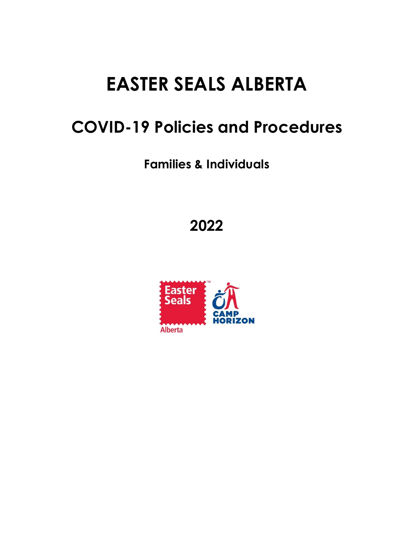# **EASTER SEALS ALBERTA**

## **COVID-19 Policies and Procedures**

**Families & Individuals**

**2022**

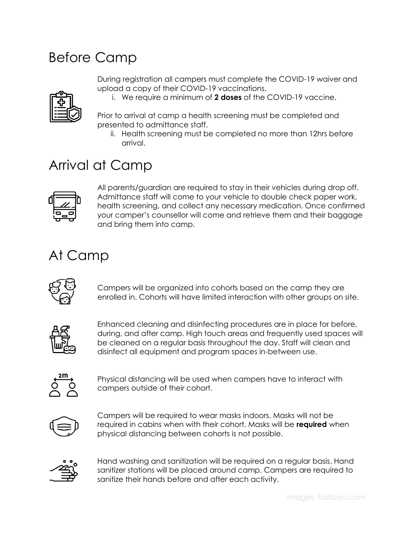#### Before Camp

During registration all campers must complete the COVID-19 waiver and upload a copy of their COVID-19 vaccinations.



i. We require a minimum of **2 doses** of the COVID-19 vaccine.

Prior to arrival at camp a health screening must be completed and presented to admittance staff.

ii. Health screening must be completed no more than 12hrs before arrival.

#### Arrival at Camp



All parents/guardian are required to stay in their vehicles during drop off. Admittance staff will come to your vehicle to double check paper work, health screening, and collect any necessary medication. Once confirmed your camper's counsellor will come and retrieve them and their baggage and bring them into camp.

#### At Camp



Campers will be organized into cohorts based on the camp they are enrolled in. Cohorts will have limited interaction with other groups on site.



Enhanced cleaning and disinfecting procedures are in place for before, during, and after camp. High touch areas and frequently used spaces will be cleaned on a regular basis throughout the day. Staff will clean and disinfect all equipment and program spaces in-between use.



Physical distancing will be used when campers have to interact with campers outside of their cohort.



Campers will be required to wear masks indoors. Masks will not be required in cabins when with their cohort. Masks will be **required** when physical distancing between cohorts is not possible.



Hand washing and sanitization will be required on a regular basis. Hand sanitizer stations will be placed around camp. Campers are required to sanitize their hands before and after each activity.